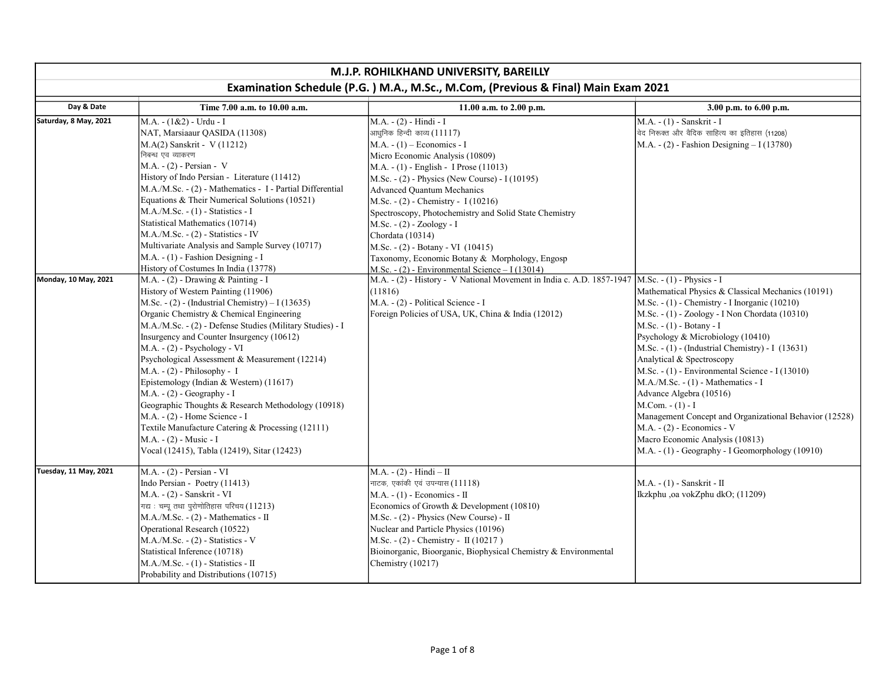| M.J.P. ROHILKHAND UNIVERSITY, BAREILLY                                            |                                                                                                                                                                                                                                                                                                                                                                                                                                                                                                                                                                                                                                                                                                           |                                                                                                                                                                                                                                                                                                                                                                                                                                                                                                                                                         |                                                                                                                                                                                                                                                                                                                                                                                                                                                                                                                                                                                                                                                                      |  |
|-----------------------------------------------------------------------------------|-----------------------------------------------------------------------------------------------------------------------------------------------------------------------------------------------------------------------------------------------------------------------------------------------------------------------------------------------------------------------------------------------------------------------------------------------------------------------------------------------------------------------------------------------------------------------------------------------------------------------------------------------------------------------------------------------------------|---------------------------------------------------------------------------------------------------------------------------------------------------------------------------------------------------------------------------------------------------------------------------------------------------------------------------------------------------------------------------------------------------------------------------------------------------------------------------------------------------------------------------------------------------------|----------------------------------------------------------------------------------------------------------------------------------------------------------------------------------------------------------------------------------------------------------------------------------------------------------------------------------------------------------------------------------------------------------------------------------------------------------------------------------------------------------------------------------------------------------------------------------------------------------------------------------------------------------------------|--|
| Examination Schedule (P.G.) M.A., M.Sc., M.Com, (Previous & Final) Main Exam 2021 |                                                                                                                                                                                                                                                                                                                                                                                                                                                                                                                                                                                                                                                                                                           |                                                                                                                                                                                                                                                                                                                                                                                                                                                                                                                                                         |                                                                                                                                                                                                                                                                                                                                                                                                                                                                                                                                                                                                                                                                      |  |
| Day & Date                                                                        | Time 7.00 a.m. to 10.00 a.m.                                                                                                                                                                                                                                                                                                                                                                                                                                                                                                                                                                                                                                                                              | 11.00 a.m. to 2.00 p.m.                                                                                                                                                                                                                                                                                                                                                                                                                                                                                                                                 | 3.00 p.m. to 6.00 p.m.                                                                                                                                                                                                                                                                                                                                                                                                                                                                                                                                                                                                                                               |  |
| Saturday, 8 May, 2021                                                             | M.A. - (1&2) - Urdu - I<br>NAT, Marsiaaur QASIDA (11308)<br>M.A(2) Sanskrit - V (11212)<br>निबन्ध एव व्याकरण<br>$M.A. - (2)$ - Persian - V<br>History of Indo Persian - Literature (11412)<br>M.A./M.Sc. - (2) - Mathematics - I - Partial Differential<br>Equations & Their Numerical Solutions (10521)<br>$M.A./M.Sc. - (1) - Statistics - I$<br>Statistical Mathematics (10714)<br>M.A./M.Sc. - (2) - Statistics - IV<br>Multivariate Analysis and Sample Survey (10717)<br>M.A. - (1) - Fashion Designing - I<br>History of Costumes In India (13778)                                                                                                                                                 | M.A. - (2) - Hindi - I<br>आधुनिक हिन्दी काव्य (11117)<br>$M.A. - (1) - Economics - I$<br>Micro Economic Analysis (10809)<br>M.A. - (1) - English - I Prose (11013)<br>M.Sc. - (2) - Physics (New Course) - I (10195)<br><b>Advanced Quantum Mechanics</b><br>M.Sc. - (2) - Chemistry - I (10216)<br>Spectroscopy, Photochemistry and Solid State Chemistry<br>M.Sc. - (2) - Zoology - I<br>Chordata (10314)<br>M.Sc. - (2) - Botany - VI (10415)<br>Taxonomy, Economic Botany & Morphology, Engosp<br>$M.Sc. - (2)$ - Environmental Science - I (13014) | M.A. - (1) - Sanskrit - l<br>वेद निरूक्त और वैदिक साहित्य का इतिहास (11208)<br>M.A. $- (2)$ - Fashion Designing $- I (13780)$                                                                                                                                                                                                                                                                                                                                                                                                                                                                                                                                        |  |
| Monday, 10 May, 2021                                                              | M.A. - (2) - Drawing & Painting - I<br>History of Western Painting (11906)<br>M.Sc. - $(2)$ - (Industrial Chemistry) – I (13635)<br>Organic Chemistry & Chemical Engineering<br>M.A./M.Sc. - (2) - Defense Studies (Military Studies) - I<br>Insurgency and Counter Insurgency (10612)<br>M.A. - (2) - Psychology - VI<br>Psychological Assessment & Measurement (12214)<br>$M.A. - (2) - Philosophy - I$<br>Epistemology (Indian & Western) (11617)<br>$M.A. - (2) - Geography - I$<br>Geographic Thoughts & Research Methodology (10918)<br>M.A. - (2) - Home Science - I<br>Textile Manufacture Catering & Processing (12111)<br>M.A. - (2) - Music - I<br>Vocal (12415), Tabla (12419), Sitar (12423) | M.A. - (2) - History - V National Movement in India c. A.D. 1857-1947<br>(11816)<br>M.A. - (2) - Political Science - I<br>Foreign Policies of USA, UK, China & India (12012)                                                                                                                                                                                                                                                                                                                                                                            | $M.Sc. - (1) - Physics - I$<br>Mathematical Physics & Classical Mechanics (10191)<br>M.Sc. - (1) - Chemistry - I Inorganic (10210)<br>M.Sc. - (1) - Zoology - I Non Chordata (10310)<br>M.Sc. - (1) - Botany - I<br>Psychology & Microbiology (10410)<br>$M.Sc. - (1)$ - (Industrial Chemistry) - I (13631)<br>Analytical & Spectroscopy<br>M.Sc. - (1) - Environmental Science - I (13010)<br>M.A./M.Sc. - (1) - Mathematics - I<br>Advance Algebra (10516)<br>$M. Com. - (1) - I$<br>Management Concept and Organizational Behavior (12528)<br>M.A. - (2) - Economics - V<br>Macro Economic Analysis (10813)<br>$M.A. - (1) - Geography - I Geomorphology (10910)$ |  |
| Tuesday, 11 May, 2021                                                             | M.A. - (2) - Persian - VI<br>Indo Persian - Poetry (11413)<br>M.A. - (2) - Sanskrit - VI<br>गद्य: चम्पू तथा पुरोणोतिहास परिचय (11213)<br>$M.A.M.Sc. - (2) - Mathematics - II$<br>Operational Research (10522)<br>$M.A.M.Sc. - (2) - Statistics - V$<br>Statistical Inference (10718)<br>$M.A./M.Sc. - (1) - Statistics - II$<br>Probability and Distributions (10715)                                                                                                                                                                                                                                                                                                                                     | $M.A. - (2) - Hindi - II$<br>नाटक, एकांकी एवं उपन्यास (11118)<br>$M.A. - (1)$ - Economics - II<br>Economics of Growth & Development (10810)<br>$M.Sc. - (2)$ - Physics (New Course) - II<br>Nuclear and Particle Physics (10196)<br>M.Sc. - $(2)$ - Chemistry - II (10217)<br>Bioinorganic, Bioorganic, Biophysical Chemistry & Environmental<br>Chemistry (10217)                                                                                                                                                                                      | $M.A. - (1) - Sanskrit - II$<br>Ikzkphu ,oa vokZphu dkO; (11209)                                                                                                                                                                                                                                                                                                                                                                                                                                                                                                                                                                                                     |  |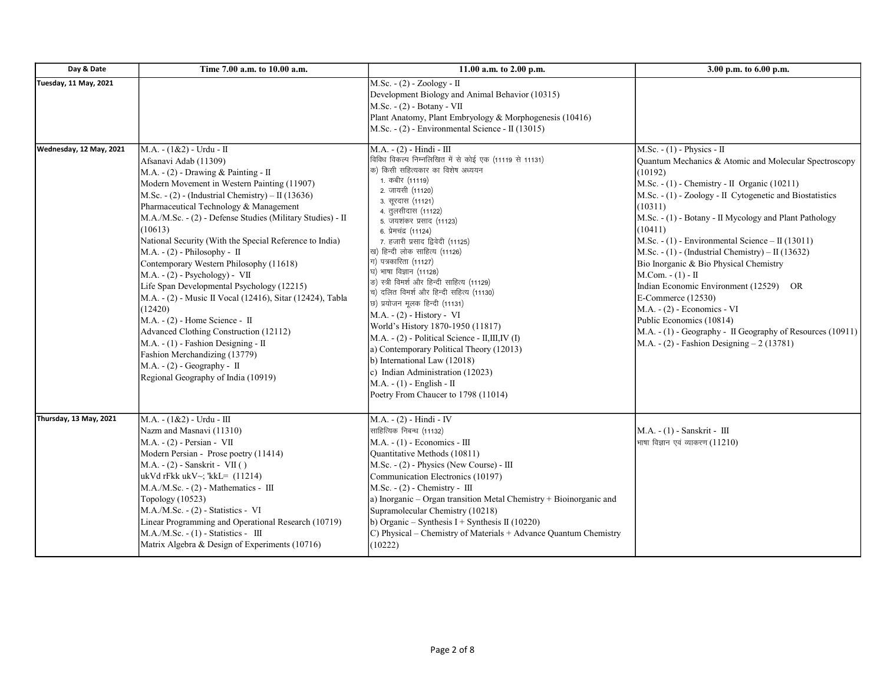| Day & Date                   | Time 7.00 a.m. to 10.00 a.m.                                                                                                                                                                                                                                                                                                                                                                                                                                                                                                                                                                                                                                                                                                                                                                                                                      | 11.00 a.m. to 2.00 p.m.                                                                                                                                                                                                                                                                                                                                                                                                                                                                                                                                                                                                                                                                                                                                                                                                            | 3.00 p.m. to 6.00 p.m.                                                                                                                                                                                                                                                                                                                                                                                                                                                                                                                                                                                                                                                                                                               |
|------------------------------|---------------------------------------------------------------------------------------------------------------------------------------------------------------------------------------------------------------------------------------------------------------------------------------------------------------------------------------------------------------------------------------------------------------------------------------------------------------------------------------------------------------------------------------------------------------------------------------------------------------------------------------------------------------------------------------------------------------------------------------------------------------------------------------------------------------------------------------------------|------------------------------------------------------------------------------------------------------------------------------------------------------------------------------------------------------------------------------------------------------------------------------------------------------------------------------------------------------------------------------------------------------------------------------------------------------------------------------------------------------------------------------------------------------------------------------------------------------------------------------------------------------------------------------------------------------------------------------------------------------------------------------------------------------------------------------------|--------------------------------------------------------------------------------------------------------------------------------------------------------------------------------------------------------------------------------------------------------------------------------------------------------------------------------------------------------------------------------------------------------------------------------------------------------------------------------------------------------------------------------------------------------------------------------------------------------------------------------------------------------------------------------------------------------------------------------------|
| <b>Tuesday, 11 May, 2021</b> |                                                                                                                                                                                                                                                                                                                                                                                                                                                                                                                                                                                                                                                                                                                                                                                                                                                   | M.Sc. - (2) - Zoology - II<br>Development Biology and Animal Behavior (10315)<br>M.Sc. - (2) - Botany - VII<br>Plant Anatomy, Plant Embryology & Morphogenesis (10416)<br>M.Sc. $- (2)$ - Environmental Science - II (13015)                                                                                                                                                                                                                                                                                                                                                                                                                                                                                                                                                                                                       |                                                                                                                                                                                                                                                                                                                                                                                                                                                                                                                                                                                                                                                                                                                                      |
| Wednesday, 12 May, 2021      | M.A. - (1&2) - Urdu - II<br>Afsanavi Adab (11309)<br>M.A. - $(2)$ - Drawing & Painting - II<br>Modern Movement in Western Painting (11907)<br>M.Sc. - (2) - (Industrial Chemistry) – II (13636)<br>Pharmaceutical Technology & Management<br>M.A./M.Sc. - (2) - Defense Studies (Military Studies) - II<br>(10613)<br>National Security (With the Special Reference to India)<br>$M.A. - (2) - Philosophy - II$<br>Contemporary Western Philosophy (11618)<br>$M.A. - (2) - Psychology$ - VII<br>Life Span Developmental Psychology (12215)<br>M.A. - (2) - Music II Vocal (12416), Sitar (12424), Tabla<br>(12420)<br>M.A. - (2) - Home Science - II<br>Advanced Clothing Construction (12112)<br>$M.A. - (1)$ - Fashion Designing - II<br>Fashion Merchandizing (13779)<br>$M.A. - (2) - Geography - II$<br>Regional Geography of India (10919) | M.A. - (2) - Hindi - III<br>.<br>विविध विकल्प निम्नलिखित में से कोई एक (11119 से 11131)<br>क) किसी सहित्यकार का विशेष अध्ययन<br>1. कबीर (11119)<br>2. जायसी (11120)<br>3. सुरदास (11121)<br>4. तुलसीदास (11122)<br>5. जयशंकर प्रसाद (11123)<br>6. प्रेमचंद्र (11124)<br>7. हजारी प्रसाद द्विवेदी (11125)<br>ख) हिन्दी लोक साहित्य (11126)<br>ग) पत्रकारिता (11127)<br>घ) भाषा विज्ञान (11128)<br>ङ) स्त्री विमर्श और हिन्दी साहित्य (11129)<br>च) दलित विमर्श और हिन्दी सहित्य (11130)<br>छ) प्रयोजन मूलक हिन्दी (11131)<br>M.A. - (2) - History - VI<br>World's History 1870-1950 (11817)<br>M.A. - (2) - Political Science - II,III,IV (I)<br>a) Contemporary Political Theory (12013)<br>b) International Law (12018)<br>c) Indian Administration (12023)<br>$M.A. - (1) - English - II$<br>Poetry From Chaucer to 1798 (11014) | $M.Sc. - (1) - Physics - II$<br>Quantum Mechanics & Atomic and Molecular Spectroscopy<br>(10192)<br>M.Sc. $- (1)$ - Chemistry - II Organic (10211)<br>M.Sc. - (1) - Zoology - II Cytogenetic and Biostatistics<br>(10311)<br>M.Sc. - (1) - Botany - II Mycology and Plant Pathology<br>(10411)<br>M.Sc. - $(1)$ - Environmental Science – II (13011)<br>M.Sc. - (1) - (Industrial Chemistry) – II (13632)<br>Bio Inorganic & Bio Physical Chemistry<br>$M_{\cdot}$ Com. $- (1) - II$<br>Indian Economic Environment (12529) OR<br>$E$ -Commerce (12530)<br>$M.A. - (2) - Economics - VI$<br>Public Economics (10814)<br>M.A. - (1) - Geography - II Geography of Resources (10911)<br>M.A. $- (2)$ - Fashion Designing $- 2 (13781)$ |
| Thursday, 13 May, 2021       | M.A. - (1&2) - Urdu - III<br>Nazm and Masnavi (11310)<br>$M.A. - (2)$ - Persian - VII<br>Modern Persian - Prose poetry (11414)<br>$M.A. - (2) - Sanskrit - VII()$<br>ukVd rFkk ukV~; 'kkL= $(11214)$<br>$M.A.M.Sc. - (2) - Mathematics - III$<br>Topology (10523)<br>M.A./M.Sc. - (2) - Statistics - VI<br>Linear Programming and Operational Research (10719)<br>M.A./M.Sc. - (1) - Statistics - III<br>Matrix Algebra & Design of Experiments (10716)                                                                                                                                                                                                                                                                                                                                                                                           | M.A. - (2) - Hindi - IV<br>साहित्यिक निबन्ध (11132)<br>$M.A. - (1) - Economics - III$<br>Quantitative Methods (10811)<br>M.Sc. - (2) - Physics (New Course) - III<br>Communication Electronics (10197)<br>$M.Sc. - (2)$ - Chemistry - $III$<br>a) Inorganic - Organ transition Metal Chemistry + Bioinorganic and<br>Supramolecular Chemistry (10218)<br>(b) Organic – Synthesis I + Synthesis II (10220)<br>C) Physical – Chemistry of Materials + Advance Quantum Chemistry<br>(10222)                                                                                                                                                                                                                                                                                                                                           | $M.A. - (1) - Sanskrit - III$<br>भाषा विज्ञान एवं व्याकरण (11210)                                                                                                                                                                                                                                                                                                                                                                                                                                                                                                                                                                                                                                                                    |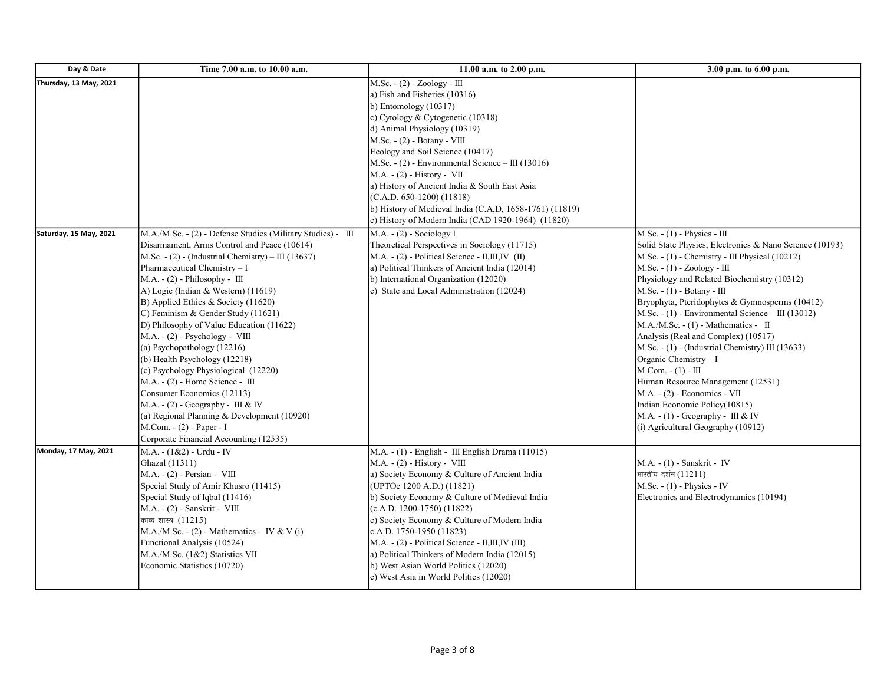| Day & Date             | Time 7.00 a.m. to 10.00 a.m.                                                                                                                                                                                                                                                                                                                                                                                                                                                                                                                                                                                                                                                                                                                                                           | 11.00 a.m. to 2.00 p.m.                                                                                                                                                                                                                                                                                                                                                                                                                                                                                                | 3.00 p.m. to 6.00 p.m.                                                                                                                                                                                                                                                                                                                                                                                                                                                                                                                                                                                                                                                                                                                         |
|------------------------|----------------------------------------------------------------------------------------------------------------------------------------------------------------------------------------------------------------------------------------------------------------------------------------------------------------------------------------------------------------------------------------------------------------------------------------------------------------------------------------------------------------------------------------------------------------------------------------------------------------------------------------------------------------------------------------------------------------------------------------------------------------------------------------|------------------------------------------------------------------------------------------------------------------------------------------------------------------------------------------------------------------------------------------------------------------------------------------------------------------------------------------------------------------------------------------------------------------------------------------------------------------------------------------------------------------------|------------------------------------------------------------------------------------------------------------------------------------------------------------------------------------------------------------------------------------------------------------------------------------------------------------------------------------------------------------------------------------------------------------------------------------------------------------------------------------------------------------------------------------------------------------------------------------------------------------------------------------------------------------------------------------------------------------------------------------------------|
| Thursday, 13 May, 2021 |                                                                                                                                                                                                                                                                                                                                                                                                                                                                                                                                                                                                                                                                                                                                                                                        | $M.Sc. - (2) - Zoology - III$<br>a) Fish and Fisheries (10316)<br>b) Entomology (10317)<br>c) Cytology & Cytogenetic (10318)<br>d) Animal Physiology (10319)<br>M.Sc. - (2) - Botany - VIII<br>Ecology and Soil Science (10417)<br>M.Sc. $- (2)$ - Environmental Science – III (13016)<br>M.A. - (2) - History - VII<br>a) History of Ancient India & South East Asia<br>$(C.A.D. 650-1200) (11818)$<br>b) History of Medieval India (C.A,D, 1658-1761) (11819)<br>c) History of Modern India (CAD 1920-1964) (11820)  |                                                                                                                                                                                                                                                                                                                                                                                                                                                                                                                                                                                                                                                                                                                                                |
| Saturday, 15 May, 2021 | M.A./M.Sc. - (2) - Defense Studies (Military Studies) - III<br>Disarmament, Arms Control and Peace (10614)<br>$M.Sc. - (2)$ - (Industrial Chemistry) – III (13637)<br>Pharmaceutical Chemistry - I<br>$M.A. - (2) - Philosophy - III$<br>A) Logic (Indian & Western) (11619)<br>B) Applied Ethics & Society (11620)<br>C) Feminism & Gender Study (11621)<br>D) Philosophy of Value Education (11622)<br>$M.A. - (2) - Psychology - VIII$<br>(a) Psychopathology (12216)<br>(b) Health Psychology (12218)<br>$(c)$ Psychology Physiological $(12220)$<br>$M.A. - (2)$ - Home Science - $III$<br>Consumer Economics (12113)<br>$M.A. - (2) - Geography - III & IV$<br>(a) Regional Planning & Development (10920)<br>M.Com. - (2) - Paper - I<br>Corporate Financial Accounting (12535) | M.A. - (2) - Sociology I<br>Theoretical Perspectives in Sociology (11715)<br>$M.A. - (2)$ - Political Science - II, III, IV (II)<br>a) Political Thinkers of Ancient India (12014)<br>b) International Organization (12020)<br>c) State and Local Administration (12024)                                                                                                                                                                                                                                               | M.Sc. - (1) - Physics - III<br>Solid State Physics, Electronics & Nano Science (10193)<br>M.Sc. $- (1)$ - Chemistry - III Physical (10212)<br>$M.Sc. - (1) - Zoology - III$<br>Physiology and Related Biochemistry (10312)<br>$M.Sc. - (1) - Botany - III$<br>Bryophyta, Pteridophytes & Gymnosperms (10412)<br>M.Sc. $- (1)$ - Environmental Science – III (13012)<br>$M.A./M.Sc. - (1) - Mathematics - II$<br>Analysis (Real and Complex) (10517)<br>M.Sc. $- (1)$ - (Industrial Chemistry) III (13633)<br>Organic Chemistry - I<br>$M.Com. - (1) - III$<br>Human Resource Management (12531)<br>M.A. - (2) - Economics - VII<br>Indian Economic Policy (10815)<br>M.A. - $(1)$ - Geography - III & IV<br>(i) Agricultural Geography (10912) |
| Monday, 17 May, 2021   | M.A. - (1&2) - Urdu - IV<br>Ghazal (11311)<br>$M.A. - (2) - Persian - VIII$<br>Special Study of Amir Khusro (11415)<br>Special Study of Iqbal (11416)<br>$M.A. - (2) - Sanskrit - VIII$<br>काव्य शास्त्र (11215)<br>$M.A.M.Sc. - (2) - Mathematics - IV & V(i)$<br>Functional Analysis (10524)<br>M.A./M.Sc. (1&2) Statistics VII<br>Economic Statistics (10720)                                                                                                                                                                                                                                                                                                                                                                                                                       | M.A. - (1) - English - III English Drama (11015)<br>$M.A. - (2) - History - VIII$<br>a) Society Economy & Culture of Ancient India<br>(UPTOc 1200 A.D.) (11821)<br>b) Society Economy & Culture of Medieval India<br>$(c.A.D. 1200-1750)$ (11822)<br>c) Society Economy & Culture of Modern India<br>c.A.D. 1750-1950 (11823)<br>M.A. - (2) - Political Science - II, III, IV (III)<br>a) Political Thinkers of Modern India (12015)<br>b) West Asian World Politics (12020)<br>c) West Asia in World Politics (12020) | M.A. - (1) - Sanskrit - IV<br>भारतीय दर्शन (11211)<br>$M.Sc. - (1)$ - Physics - IV<br>Electronics and Electrodynamics (10194)                                                                                                                                                                                                                                                                                                                                                                                                                                                                                                                                                                                                                  |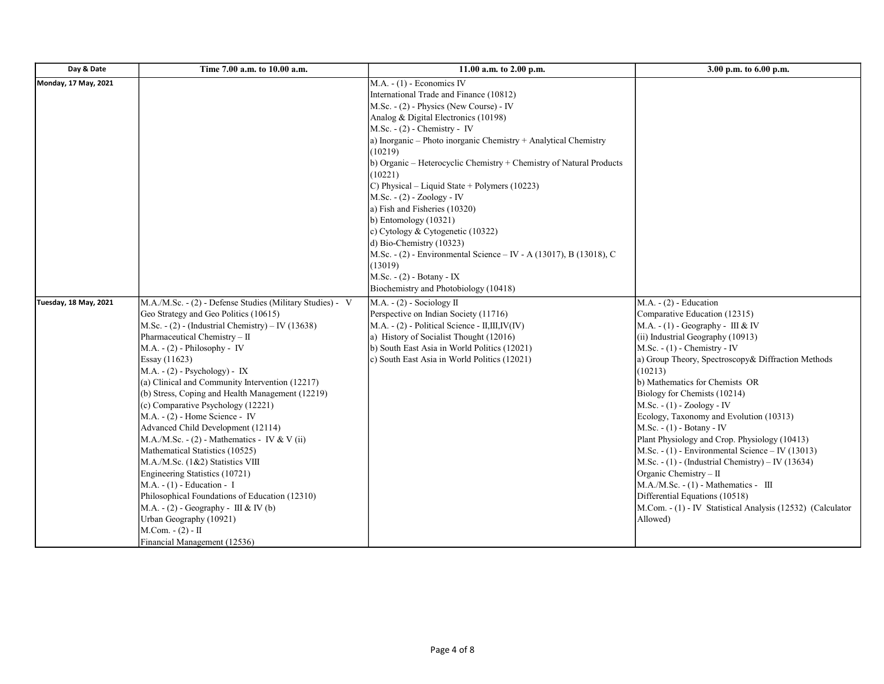| Day & Date            | Time 7.00 a.m. to 10.00 a.m.                                                                                                                                                                                                                                                                                                                                                                                                                                                                                                                                                                                                                                                                                                                                                                                                                                                      | 11.00 a.m. to 2.00 p.m.                                                                                                                                                                                                                                                                                                                                                                                                                                                                                                                                                                                                                                                                                                                  | 3.00 p.m. to 6.00 p.m.                                                                                                                                                                                                                                                                                                                                                                                                                                                                                                                                                                                                                                                                                                                                           |
|-----------------------|-----------------------------------------------------------------------------------------------------------------------------------------------------------------------------------------------------------------------------------------------------------------------------------------------------------------------------------------------------------------------------------------------------------------------------------------------------------------------------------------------------------------------------------------------------------------------------------------------------------------------------------------------------------------------------------------------------------------------------------------------------------------------------------------------------------------------------------------------------------------------------------|------------------------------------------------------------------------------------------------------------------------------------------------------------------------------------------------------------------------------------------------------------------------------------------------------------------------------------------------------------------------------------------------------------------------------------------------------------------------------------------------------------------------------------------------------------------------------------------------------------------------------------------------------------------------------------------------------------------------------------------|------------------------------------------------------------------------------------------------------------------------------------------------------------------------------------------------------------------------------------------------------------------------------------------------------------------------------------------------------------------------------------------------------------------------------------------------------------------------------------------------------------------------------------------------------------------------------------------------------------------------------------------------------------------------------------------------------------------------------------------------------------------|
| Monday, 17 May, 2021  |                                                                                                                                                                                                                                                                                                                                                                                                                                                                                                                                                                                                                                                                                                                                                                                                                                                                                   | $M.A. - (1)$ - Economics IV<br>International Trade and Finance (10812)<br>M.Sc. - (2) - Physics (New Course) - IV<br>Analog & Digital Electronics (10198)<br>$M.Sc. - (2)$ - Chemistry - IV<br>a) Inorganic - Photo inorganic Chemistry + Analytical Chemistry<br>(10219)<br>b) Organic – Heterocyclic Chemistry + Chemistry of Natural Products<br>(10221)<br>C) Physical – Liquid State + Polymers (10223)<br>M.Sc. - (2) - Zoology - IV<br>a) Fish and Fisheries (10320)<br>$\vert$ b) Entomology (10321)<br>c) Cytology & Cytogenetic (10322)<br>d) Bio-Chemistry $(10323)$<br>M.Sc. - (2) - Environmental Science – IV - A (13017), B (13018), C<br>(13019)<br>$M.Sc. - (2) - Botany - IX$<br>Biochemistry and Photobiology (10418) |                                                                                                                                                                                                                                                                                                                                                                                                                                                                                                                                                                                                                                                                                                                                                                  |
| Tuesday, 18 May, 2021 | M.A./M.Sc. - (2) - Defense Studies (Military Studies) - V<br>Geo Strategy and Geo Politics (10615)<br>M.Sc. - $(2)$ - (Industrial Chemistry) – IV (13638)<br>Pharmaceutical Chemistry - II<br>$M.A. - (2) - Philosophy - IV$<br>Essay (11623)<br>$M.A. - (2) - Psychology$ - $IX$<br>(a) Clinical and Community Intervention (12217)<br>(b) Stress, Coping and Health Management (12219)<br>(c) Comparative Psychology (12221)<br>$M.A. - (2)$ - Home Science - IV<br>Advanced Child Development (12114)<br>M.A./M.Sc. - $(2)$ - Mathematics - IV & V $(ii)$<br>Mathematical Statistics (10525)<br>M.A./M.Sc. (1&2) Statistics VIII<br>Engineering Statistics (10721)<br>$M.A. - (1)$ - Education - I<br>Philosophical Foundations of Education (12310)<br>$M.A. - (2) - Geography - III & IV(b)$<br>Urban Geography (10921)<br>M.Com. - (2) - II<br>Financial Management (12536) | $M.A. - (2)$ - Sociology II<br>Perspective on Indian Society (11716)<br>M.A. - (2) - Political Science - II,III,IV(IV)<br>a) History of Socialist Thought (12016)<br>b) South East Asia in World Politics (12021)<br>c) South East Asia in World Politics (12021)                                                                                                                                                                                                                                                                                                                                                                                                                                                                        | $M.A. - (2)$ - Education<br>Comparative Education (12315)<br>M.A. - $(1)$ - Geography - III & IV<br>(ii) Industrial Geography (10913)<br>$M.Sc. - (1)$ - Chemistry - IV<br>a) Group Theory, Spectroscopy& Diffraction Methods<br>(10213)<br>b) Mathematics for Chemists OR<br>Biology for Chemists (10214)<br>$M.Sc. - (1) - Zoology - IV$<br>Ecology, Taxonomy and Evolution (10313)<br>$M.Sc. - (1) - Botany - IV$<br>Plant Physiology and Crop. Physiology (10413)<br>M.Sc. - $(1)$ - Environmental Science – IV (13013)<br>M.Sc. - (1) - (Industrial Chemistry) - IV (13634)<br>Organic Chemistry - II<br>$M.A./M.Sc. - (1) - Mathematics - III$<br>Differential Equations (10518)<br>M.Com. - (1) - IV Statistical Analysis (12532) (Calculator<br>Allowed) |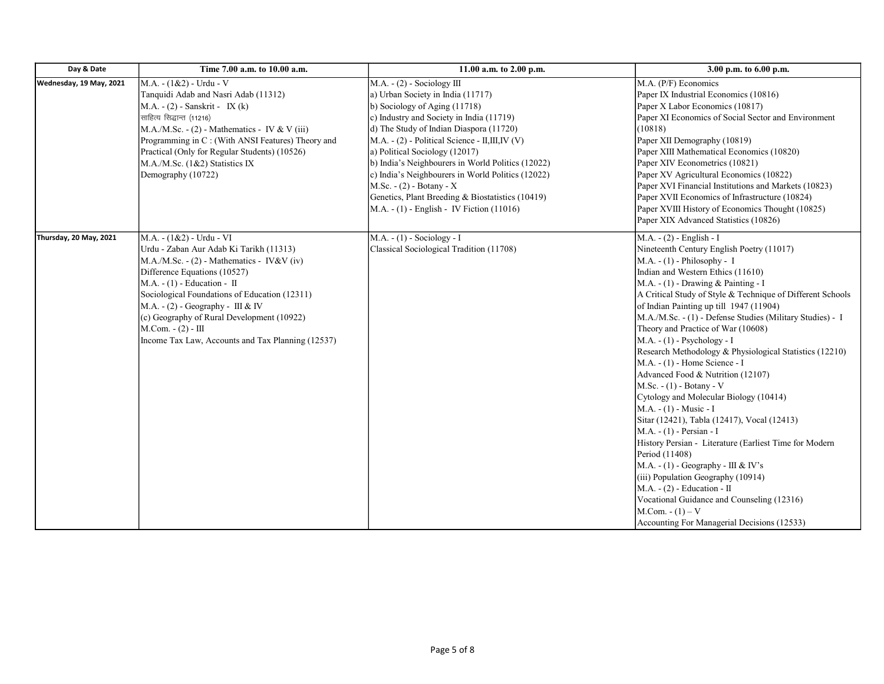| Day & Date              | Time 7.00 a.m. to 10.00 a.m.                                                                                                                                                                                                                                                                                                                                                                             | 11.00 a.m. to 2.00 p.m.                                                                                                                                                                                                                                                                                                                                                                                                                                                                                              | 3.00 p.m. to 6.00 p.m.                                                                                                                                                                                                                                                                                                                                                                                                                                                                                                                                                                                                                                                                                                                                                                                                                                                                                                                                                                                                                                                   |
|-------------------------|----------------------------------------------------------------------------------------------------------------------------------------------------------------------------------------------------------------------------------------------------------------------------------------------------------------------------------------------------------------------------------------------------------|----------------------------------------------------------------------------------------------------------------------------------------------------------------------------------------------------------------------------------------------------------------------------------------------------------------------------------------------------------------------------------------------------------------------------------------------------------------------------------------------------------------------|--------------------------------------------------------------------------------------------------------------------------------------------------------------------------------------------------------------------------------------------------------------------------------------------------------------------------------------------------------------------------------------------------------------------------------------------------------------------------------------------------------------------------------------------------------------------------------------------------------------------------------------------------------------------------------------------------------------------------------------------------------------------------------------------------------------------------------------------------------------------------------------------------------------------------------------------------------------------------------------------------------------------------------------------------------------------------|
| Wednesday, 19 May, 2021 | $M.A. - (1 & 2) - Urdu - V$<br>Tanquidi Adab and Nasri Adab (11312)<br>$M.A. - (2)$ - Sanskrit - IX (k)<br>साहित्य सिद्धान्त (11216)<br>$M.A.M.Sc. - (2) - Mathematics - IV & V (iii)$<br>Programming in C: (With ANSI Features) Theory and<br>Practical (Only for Regular Students) (10526)<br>M.A./M.Sc. (1&2) Statistics IX<br>Demography (10722)                                                     | $M.A. - (2) - Society III$<br>a) Urban Society in India (11717)<br>b) Sociology of Aging $(11718)$<br>c) Industry and Society in India (11719)<br>d) The Study of Indian Diaspora (11720)<br>M.A. - (2) - Political Science - II,III,IV (V)<br>a) Political Sociology (12017)<br>b) India's Neighbourers in World Politics (12022)<br>c) India's Neighbourers in World Politics (12022)<br>M.Sc. - (2) - Botany - X<br>Genetics, Plant Breeding & Biostatistics (10419)<br>M.A. - (1) - English - IV Fiction (11016) | M.A. (P/F) Economics<br>Paper IX Industrial Economics (10816)<br>Paper X Labor Economics (10817)<br>Paper XI Economics of Social Sector and Environment<br>(10818)<br>Paper XII Demography (10819)<br>Paper XIII Mathematical Economics (10820)<br>Paper XIV Econometrics (10821)<br>Paper XV Agricultural Economics (10822)<br>Paper XVI Financial Institutions and Markets (10823)<br>Paper XVII Economics of Infrastructure (10824)<br>Paper XVIII History of Economics Thought (10825)<br>Paper XIX Advanced Statistics (10826)                                                                                                                                                                                                                                                                                                                                                                                                                                                                                                                                      |
| Thursday, 20 May, 2021  | M.A. - (1&2) - Urdu - VI<br>Urdu - Zaban Aur Adab Ki Tarikh (11313)<br>$M.A.M.Sc. - (2) - Mathematics - IV&V (iv)$<br>Difference Equations (10527)<br>$M.A. - (1)$ - Education - II<br>Sociological Foundations of Education (12311)<br>$M.A. - (2) - Geography - III & IV$<br>$(c)$ Geography of Rural Development (10922)<br>$M.Com. - (2) - III$<br>Income Tax Law, Accounts and Tax Planning (12537) | $M.A. - (1) - Society - I$<br>Classical Sociological Tradition (11708)                                                                                                                                                                                                                                                                                                                                                                                                                                               | $M.A. - (2) - English - I$<br>Nineteenth Century English Poetry (11017)<br>$M.A. - (1) - Philosophy - I$<br>Indian and Western Ethics (11610)<br>M.A. $- (1)$ - Drawing & Painting - I<br>A Critical Study of Style & Technique of Different Schools<br>of Indian Painting up till 1947 (11904)<br>M.A./M.Sc. - (1) - Defense Studies (Military Studies) - I<br>Theory and Practice of War (10608)<br>$M.A. - (1) - Psychology - I$<br>Research Methodology & Physiological Statistics (12210)<br>M.A. - (1) - Home Science - I<br>Advanced Food & Nutrition (12107)<br>$M.Sc. - (1) - Botany - V$<br>Cytology and Molecular Biology (10414)<br>M.A. - (1) - Music - I<br>Sitar (12421), Tabla (12417), Vocal (12413)<br>M.A. - (1) - Persian - I<br>History Persian - Literature (Earliest Time for Modern<br>Period (11408)<br>$M.A. - (1) - Geography - III & IV's$<br>(iii) Population Geography (10914)<br>$M.A. - (2)$ - Education - II<br>Vocational Guidance and Counseling (12316)<br>$M_{1}$ . Com. $- (1) - V$<br>Accounting For Managerial Decisions (12533) |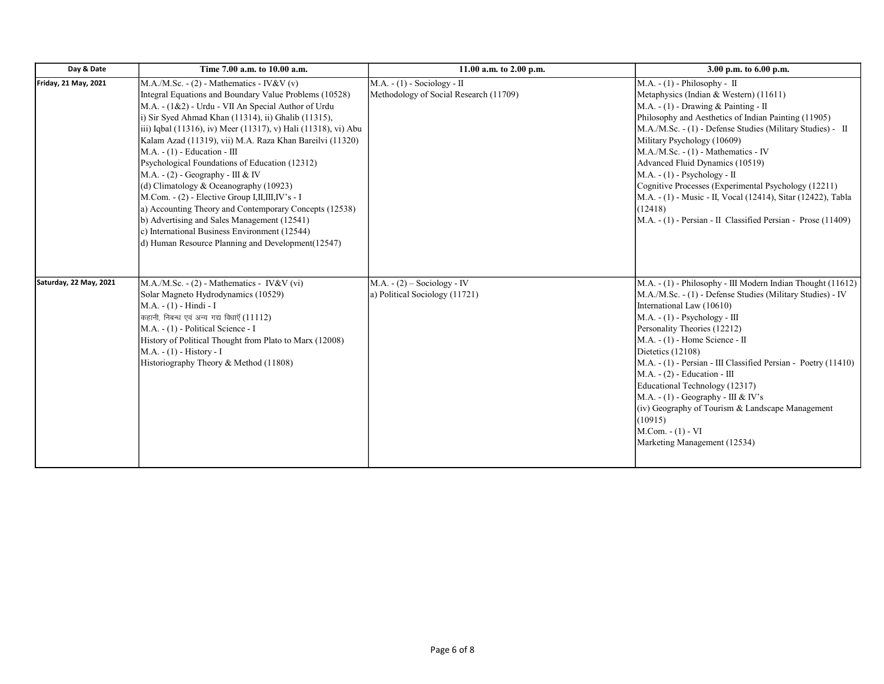| Day & Date             | Time 7.00 a.m. to 10.00 a.m.                                                                                                                                                                                                                                                                                                                                                                                                                                                                                                                                                                                                                                                                                                                                                              | 11.00 a.m. to 2.00 p.m.                                               | 3.00 p.m. to 6.00 p.m.                                                                                                                                                                                                                                                                                                                                                                                                                                                                                                                                                                            |
|------------------------|-------------------------------------------------------------------------------------------------------------------------------------------------------------------------------------------------------------------------------------------------------------------------------------------------------------------------------------------------------------------------------------------------------------------------------------------------------------------------------------------------------------------------------------------------------------------------------------------------------------------------------------------------------------------------------------------------------------------------------------------------------------------------------------------|-----------------------------------------------------------------------|---------------------------------------------------------------------------------------------------------------------------------------------------------------------------------------------------------------------------------------------------------------------------------------------------------------------------------------------------------------------------------------------------------------------------------------------------------------------------------------------------------------------------------------------------------------------------------------------------|
| Friday, 21 May, 2021   | $M.A.M.Sc. - (2) - Mathematics - IV&V(v)$<br>Integral Equations and Boundary Value Problems (10528)<br>M.A. - (1&2) - Urdu - VII An Special Author of Urdu<br>i) Sir Syed Ahmad Khan (11314), ii) Ghalib (11315),<br>iii) Iqbal (11316), iv) Meer (11317), v) Hali (11318), vi) Abu<br>Kalam Azad (11319), vii) M.A. Raza Khan Bareilvi (11320)<br>$M.A. - (1)$ - Education - III<br>Psychological Foundations of Education (12312)<br>$M.A. - (2) - Geography - III & W$<br>(d) Climatology & Oceanography (10923)<br>M.Com. - (2) - Elective Group I, II, III, IV's - I<br>a) Accounting Theory and Contemporary Concepts (12538)<br>(b) Advertising and Sales Management (12541)<br>c) International Business Environment (12544)<br>d) Human Resource Planning and Development(12547) | $M.A. - (1) - Society - II$<br>Methodology of Social Research (11709) | $M.A. - (1) - Philosophy - II$<br>Metaphysics (Indian & Western) (11611)<br>M.A. - (1) - Drawing & Painting - II<br>Philosophy and Aesthetics of Indian Painting (11905)<br>M.A./M.Sc. - (1) - Defense Studies (Military Studies) - II<br>Military Psychology (10609)<br>M.A./M.Sc. - (1) - Mathematics - IV<br>Advanced Fluid Dynamics (10519)<br>$M.A. - (1) - Psychology - II$<br>Cognitive Processes (Experimental Psychology (12211)<br>M.A. - (1) - Music - II, Vocal (12414), Sitar (12422), Tabla<br>(12418)<br>M.A. - (1) - Persian - II Classified Persian - Prose (11409)              |
| Saturday, 22 May, 2021 | $M.A.M.Sc. - (2) - Mathematics - IV&V (vi)$<br>Solar Magneto Hydrodynamics (10529)<br>M.A. - (1) - Hindi - I<br>कहानी, निबन्ध एवं अन्य गद्य विधाएँ (11112)<br>M.A. - (1) - Political Science - I<br>History of Political Thought from Plato to Marx (12008)<br>M.A. - (1) - History - I<br>Historiography Theory & Method (11808)                                                                                                                                                                                                                                                                                                                                                                                                                                                         | $M.A. - (2) - Society - IV$<br>a) Political Sociology (11721)         | M.A. - (1) - Philosophy - III Modern Indian Thought (11612)<br>M.A./M.Sc. - (1) - Defense Studies (Military Studies) - IV<br>International Law (10610)<br>$M.A. - (1) - Psychology - III$<br>Personality Theories (12212)<br>$M.A. - (1) - Home Science - II$<br>Dietetics (12108)<br>M.A. - (1) - Persian - III Classified Persian - Poetry (11410)<br>$M.A. - (2)$ - Education - III<br>Educational Technology (12317)<br>$M.A. - (1) - Geography - III & IV's$<br>(iv) Geography of Tourism & Landscape Management<br>(10915)<br>$M_{\cdot}$ Com. $- (1) - VI$<br>Marketing Management (12534) |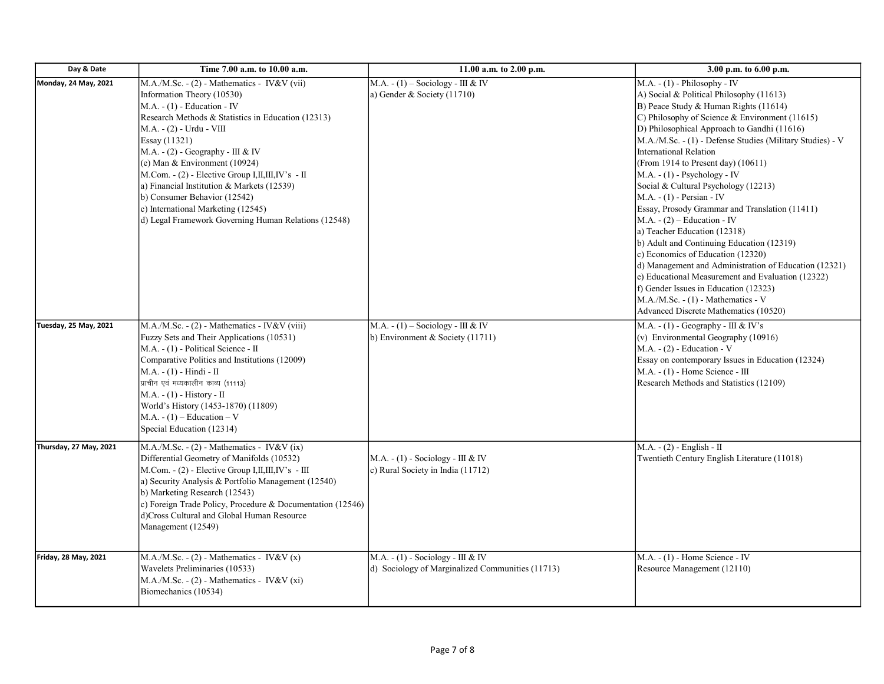| Day & Date                   | Time 7.00 a.m. to 10.00 a.m.                                                                                                                                                                                                                                                                                                                                                                                                                                                                                                     | 11.00 a.m. to 2.00 p.m.                                                              | 3.00 p.m. to 6.00 p.m.                                                                                                                                                                                                                                                                                                                                                                                                                                                                                                                                                                                                                                                                                                                                                                                                                                                                                        |
|------------------------------|----------------------------------------------------------------------------------------------------------------------------------------------------------------------------------------------------------------------------------------------------------------------------------------------------------------------------------------------------------------------------------------------------------------------------------------------------------------------------------------------------------------------------------|--------------------------------------------------------------------------------------|---------------------------------------------------------------------------------------------------------------------------------------------------------------------------------------------------------------------------------------------------------------------------------------------------------------------------------------------------------------------------------------------------------------------------------------------------------------------------------------------------------------------------------------------------------------------------------------------------------------------------------------------------------------------------------------------------------------------------------------------------------------------------------------------------------------------------------------------------------------------------------------------------------------|
| Monday, 24 May, 2021         | M.A./M.Sc. - (2) - Mathematics - IV&V (vii)<br>Information Theory (10530)<br>$M.A. - (1)$ - Education - IV<br>Research Methods & Statistics in Education (12313)<br>M.A. - (2) - Urdu - VIII<br>Essay (11321)<br>M.A. $-$ (2) $-$ Geography $-$ III & IV<br>(e) Man & Environment $(10924)$<br>M.Com. $-$ (2) - Elective Group I, II, III, IV's - II<br>a) Financial Institution & Markets (12539)<br>b) Consumer Behavior (12542)<br>c) International Marketing (12545)<br>d) Legal Framework Governing Human Relations (12548) | M.A. - $(1)$ – Sociology - III & IV<br>a) Gender & Society (11710)                   | $M.A. - (1) - Philosophy - IV$<br>A) Social & Political Philosophy (11613)<br>B) Peace Study & Human Rights (11614)<br>C) Philosophy of Science & Environment (11615)<br>D) Philosophical Approach to Gandhi (11616)<br>M.A./M.Sc. - (1) - Defense Studies (Military Studies) - V<br><b>International Relation</b><br>(From 1914 to Present day) (10611)<br>$M.A. - (1) - Psychology - IV$<br>Social & Cultural Psychology (12213)<br>$M.A. - (1)$ - Persian - IV<br>Essay, Prosody Grammar and Translation (11411)<br>$M.A. - (2) - Education - IV$<br>a) Teacher Education (12318)<br>b) Adult and Continuing Education (12319)<br>c) Economics of Education (12320)<br>d) Management and Administration of Education (12321)<br>e) Educational Measurement and Evaluation (12322)<br>f) Gender Issues in Education (12323)<br>$M.A.M.Sc. - (1) - Mathematics - V$<br>Advanced Discrete Mathematics (10520) |
| <b>Tuesday, 25 May, 2021</b> | $M.A.M.Sc. - (2) - Mathematics - IV&V (viii)$<br>Fuzzy Sets and Their Applications (10531)<br>M.A. - (1) - Political Science - II<br>Comparative Politics and Institutions (12009)<br>M.A. - (1) - Hindi - II<br>प्राचीन एवं मध्यकालीन काव्य (11113)<br>$M.A. - (1) - History - II$<br>World's History (1453-1870) (11809)<br>M.A. - $(1)$ – Education – V<br>Special Education (12314)                                                                                                                                          | M.A. - $(1)$ – Sociology - III & IV<br>b) Environment & Society $(11711)$            | M.A. - $(1)$ - Geography - III & IV's<br>(v) Environmental Geography (10916)<br>$M.A. - (2)$ - Education - V<br>Essay on contemporary Issues in Education (12324)<br>$M.A. - (1)$ - Home Science - III<br>Research Methods and Statistics (12109)                                                                                                                                                                                                                                                                                                                                                                                                                                                                                                                                                                                                                                                             |
| Thursday, 27 May, 2021       | $M.A.M.Sc. - (2) - Mathematics - IV&V (ix)$<br>Differential Geometry of Manifolds (10532)<br>M.Com. $-$ (2) - Elective Group I, II, III, IV's - III<br>a) Security Analysis & Portfolio Management (12540)<br>b) Marketing Research (12543)<br>c) Foreign Trade Policy, Procedure & Documentation (12546)<br>d)Cross Cultural and Global Human Resource<br>Management (12549)                                                                                                                                                    | $M.A. - (1) - Society - III & W$<br>c) Rural Society in India (11712)                | $M.A. - (2) - English - II$<br>Twentieth Century English Literature (11018)                                                                                                                                                                                                                                                                                                                                                                                                                                                                                                                                                                                                                                                                                                                                                                                                                                   |
| Friday, 28 May, 2021         | $M.A.M.Sc. - (2) - Mathematics - IV&V(x)$<br>Wavelets Preliminaries (10533)<br>M.A./M.Sc. - (2) - Mathematics - IV&V (xi)<br>Biomechanics (10534)                                                                                                                                                                                                                                                                                                                                                                                | $M.A. - (1) - Society - III & W$<br>d) Sociology of Marginalized Communities (11713) | $M.A. - (1)$ - Home Science - IV<br>Resource Management (12110)                                                                                                                                                                                                                                                                                                                                                                                                                                                                                                                                                                                                                                                                                                                                                                                                                                               |